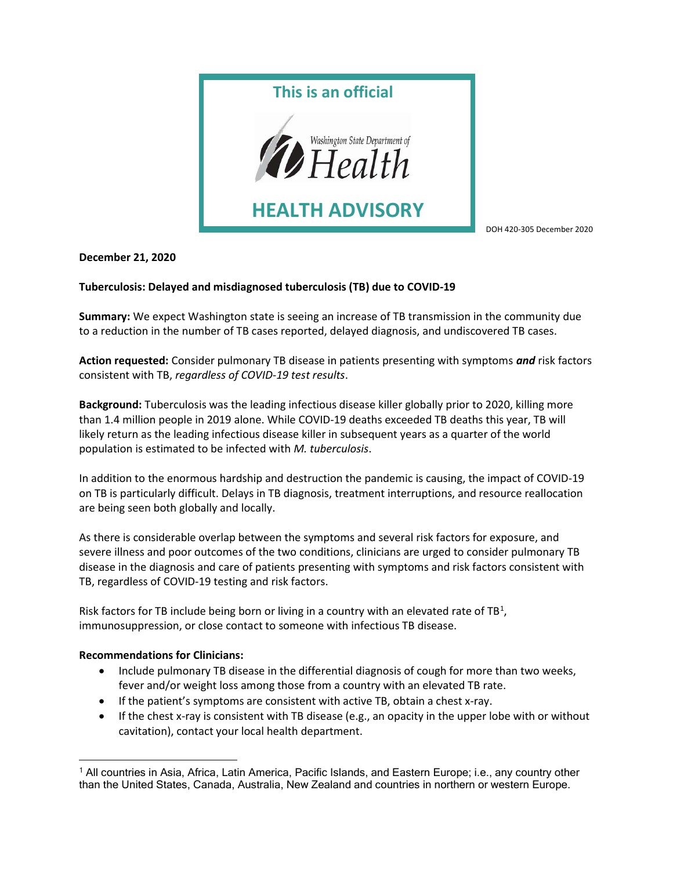

DOH 420-305 December 2020

December 21, 2020

## Tuberculosis: Delayed and misdiagnosed tuberculosis (TB) due to COVID-19

Summary: We expect Washington state is seeing an increase of TB transmission in the community due to a reduction in the number of TB cases reported, delayed diagnosis, and undiscovered TB cases.

Action requested: Consider pulmonary TB disease in patients presenting with symptoms and risk factors consistent with TB, regardless of COVID-19 test results.

Background: Tuberculosis was the leading infectious disease killer globally prior to 2020, killing more than 1.4 million people in 2019 alone. While COVID-19 deaths exceeded TB deaths this year, TB will likely return as the leading infectious disease killer in subsequent years as a quarter of the world population is estimated to be infected with M. tuberculosis.

In addition to the enormous hardship and destruction the pandemic is causing, the impact of COVID-19 on TB is particularly difficult. Delays in TB diagnosis, treatment interruptions, and resource reallocation are being seen both globally and locally.

As there is considerable overlap between the symptoms and several risk factors for exposure, and severe illness and poor outcomes of the two conditions, clinicians are urged to consider pulmonary TB disease in the diagnosis and care of patients presenting with symptoms and risk factors consistent with TB, regardless of COVID-19 testing and risk factors.

Risk factors for TB include being born or living in a country with an elevated rate of  $TB<sup>1</sup>$ , immunosuppression, or close contact to someone with infectious TB disease.

## Recommendations for Clinicians:

- Include pulmonary TB disease in the differential diagnosis of cough for more than two weeks, fever and/or weight loss among those from a country with an elevated TB rate.
- If the patient's symptoms are consistent with active TB, obtain a chest x-ray.
- If the chest x-ray is consistent with TB disease (e.g., an opacity in the upper lobe with or without cavitation), contact your local health department.

<sup>1</sup> All countries in Asia, Africa, Latin America, Pacific Islands, and Eastern Europe; i.e., any country other than the United States, Canada, Australia, New Zealand and countries in northern or western Europe.